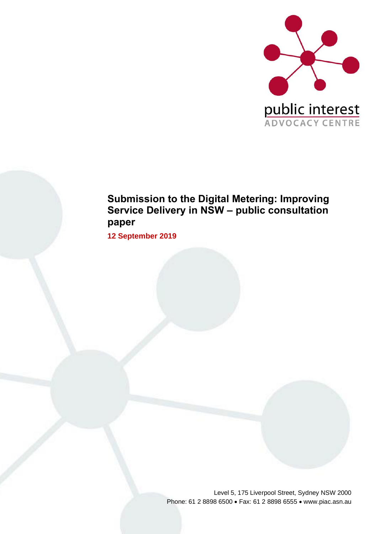

## **Submission to the Digital Metering: Improving Service Delivery in NSW – public consultation paper**

**12 September 2019**

Level 5, 175 Liverpool Street, Sydney NSW 2000 Phone: 61 2 8898 6500 • Fax: 61 2 8898 6555 • www.piac.asn.au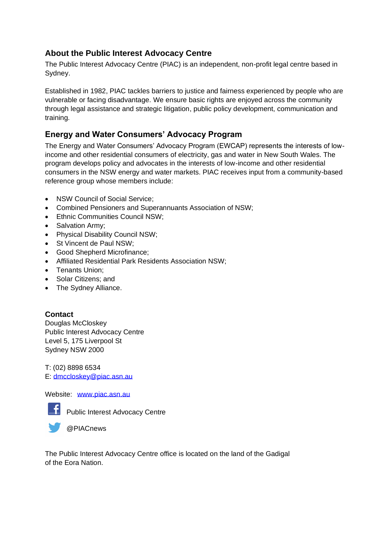### **About the Public Interest Advocacy Centre**

The Public Interest Advocacy Centre (PIAC) is an independent, non-profit legal centre based in Sydney.

Established in 1982, PIAC tackles barriers to justice and fairness experienced by people who are vulnerable or facing disadvantage. We ensure basic rights are enjoyed across the community through legal assistance and strategic litigation, public policy development, communication and training.

### **Energy and Water Consumers' Advocacy Program**

The Energy and Water Consumers' Advocacy Program (EWCAP) represents the interests of lowincome and other residential consumers of electricity, gas and water in New South Wales. The program develops policy and advocates in the interests of low-income and other residential consumers in the NSW energy and water markets. PIAC receives input from a community-based reference group whose members include:

- NSW Council of Social Service:
- Combined Pensioners and Superannuants Association of NSW;
- Ethnic Communities Council NSW;
- Salvation Army;
- Physical Disability Council NSW;
- St Vincent de Paul NSW;
- Good Shepherd Microfinance;
- Affiliated Residential Park Residents Association NSW;
- Tenants Union;
- Solar Citizens; and
- The Sydney Alliance.

#### **Contact**

Douglas McCloskey Public Interest Advocacy Centre Level 5, 175 Liverpool St Sydney NSW 2000

T: (02) 8898 6534 E: [dmccloskey@piac.asn.au](mailto:dmccloskey@piac.asn.au)

Website: [www.piac.asn.au](http://www.piac.asn.au/)



Public Interest Advocacy Centre



The Public Interest Advocacy Centre office is located on the land of the Gadigal of the Eora Nation.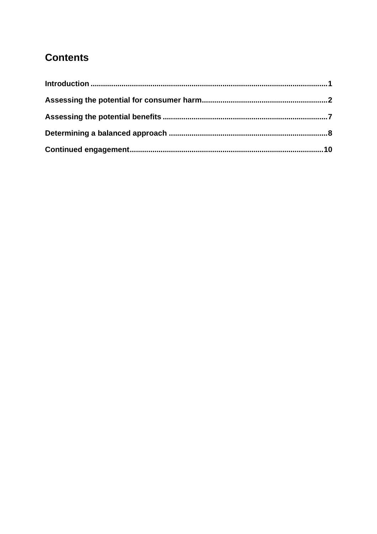# **Contents**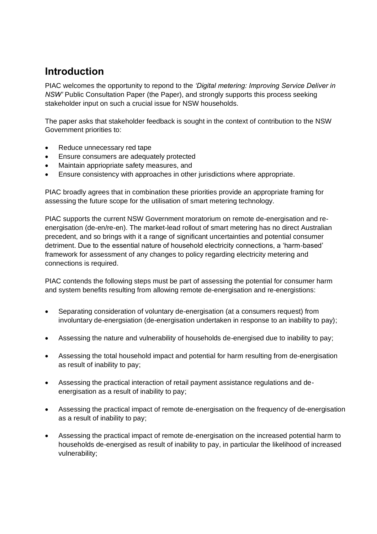## <span id="page-4-0"></span>**Introduction**

PIAC welcomes the opportunity to repond to the *'Digital metering: Improving Service Deliver in NSW'* Public Consultation Paper (the Paper), and strongly supports this process seeking stakeholder input on such a crucial issue for NSW households.

The paper asks that stakeholder feedback is sought in the context of contribution to the NSW Government priorities to:

- Reduce unnecessary red tape
- Ensure consumers are adequately protected
- Maintain appriopriate safety measures, and
- Ensure consistency with approaches in other jurisdictions where appropriate.

PIAC broadly agrees that in combination these priorities provide an appropriate framing for assessing the future scope for the utilisation of smart metering technology.

PIAC supports the current NSW Government moratorium on remote de-energisation and reenergisation (de-en/re-en). The market-lead rollout of smart metering has no direct Australian precedent, and so brings with it a range of significant uncertainties and potential consumer detriment. Due to the essential nature of household electricity connections, a 'harm-based' framework for assessment of any changes to policy regarding electricity metering and connections is required.

PIAC contends the following steps must be part of assessing the potential for consumer harm and system benefits resulting from allowing remote de-energisation and re-energistions:

- Separating consideration of voluntary de-energisation (at a consumers request) from involuntary de-energsiation (de-energisation undertaken in response to an inability to pay);
- Assessing the nature and vulnerability of households de-energised due to inability to pay;
- Assessing the total household impact and potential for harm resulting from de-energisation as result of inability to pay;
- Assessing the practical interaction of retail payment assistance regulations and deenergisation as a result of inability to pay;
- Assessing the practical impact of remote de-energisation on the frequency of de-energisation as a result of inability to pay;
- Assessing the practical impact of remote de-energisation on the increased potential harm to households de-energised as result of inability to pay, in particular the likelihood of increased vulnerability;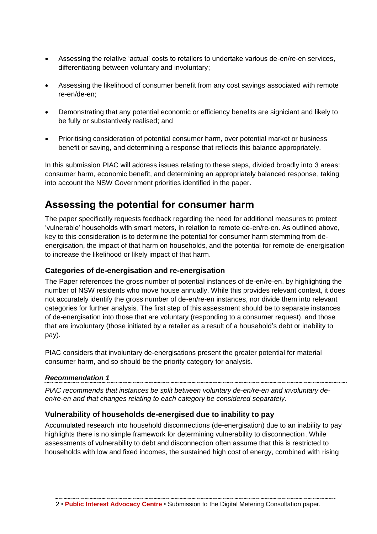- Assessing the relative 'actual' costs to retailers to undertake various de-en/re-en services, differentiating between voluntary and involuntary;
- Assessing the likelihood of consumer benefit from any cost savings associated with remote re-en/de-en;
- Demonstrating that any potential economic or efficiency benefits are signiciant and likely to be fully or substantively realised; and
- Prioritising consideration of potential consumer harm, over potential market or business benefit or saving, and determining a response that reflects this balance appropriately.

In this submission PIAC will address issues relating to these steps, divided broadly into 3 areas: consumer harm, economic benefit, and determining an appropriately balanced response, taking into account the NSW Government priorities identified in the paper.

### <span id="page-5-0"></span>**Assessing the potential for consumer harm**

The paper specifically requests feedback regarding the need for additional measures to protect 'vulnerable' households with smart meters, in relation to remote de-en/re-en. As outlined above, key to this consideration is to determine the potential for consumer harm stemming from deenergisation, the impact of that harm on households, and the potential for remote de-energisation to increase the likelihood or likely impact of that harm.

#### **Categories of de-energisation and re-energisation**

The Paper references the gross number of potential instances of de-en/re-en, by highlighting the number of NSW residents who move house annually. While this provides relevant context, it does not accurately identify the gross number of de-en/re-en instances, nor divide them into relevant categories for further analysis. The first step of this assessment should be to separate instances of de-energisation into those that are voluntary (responding to a consumer request), and those that are involuntary (those initiated by a retailer as a result of a household's debt or inability to pay).

PIAC considers that involuntary de-energisations present the greater potential for material consumer harm, and so should be the priority category for analysis.

#### *Recommendation 1*

*PIAC recommends that instances be split between voluntary de-en/re-en and involuntary deen/re-en and that changes relating to each category be considered separately.*

#### **Vulnerability of households de-energised due to inability to pay**

Accumulated research into household disconnections (de-energisation) due to an inability to pay highlights there is no simple framework for determining vulnerability to disconnection. While assessments of vulnerability to debt and disconnection often assume that this is restricted to households with low and fixed incomes, the sustained high cost of energy, combined with rising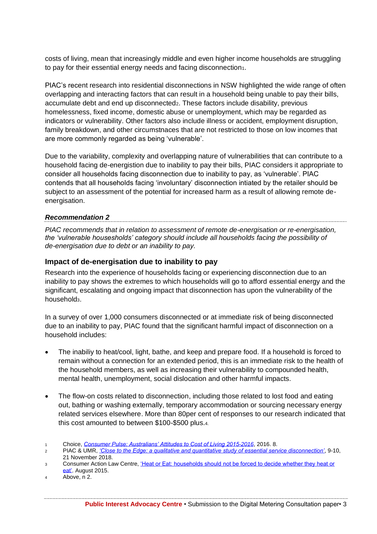costs of living, mean that increasingly middle and even higher income households are struggling to pay for their essential energy needs and facing disconnection1.

<span id="page-6-0"></span>PIAC's recent research into residential disconnections in NSW highlighted the wide range of often overlapping and interacting factors that can result in a household being unable to pay their bills, accumulate debt and end up disconnected2. These factors include disability, previous homelessness, fixed income, domestic abuse or unemployment, which may be regarded as indicators or vulnerability. Other factors also include illness or accident, employment disruption, family breakdown, and other circumstnaces that are not restricted to those on low incomes that are more commonly regarded as being 'vulnerable'.

Due to the variability, complexity and overlapping nature of vulnerabilities that can contribute to a household facing de-energistion due to inability to pay their bills, PIAC considers it appropriate to consider all households facing disconnection due to inability to pay, as 'vulnerable'. PIAC contends that all households facing 'involuntary' disconnection intiated by the retailer should be subject to an assessment of the potential for increased harm as a result of allowing remote deenergisation.

#### *Recommendation 2*

*PIAC recommends that in relation to assessment of remote de-energisation or re-energisation, the 'vulnerable housesholds' category should include all households facing the possibility of de-energisation due to debt or an inability to pay.* 

#### **Impact of de-energisation due to inability to pay**

Research into the experience of households facing or experiencing disconnection due to an inability to pay shows the extremes to which households will go to afford essential energy and the significant, escalating and ongoing impact that disconnection has upon the vulnerability of the household<sub>3</sub>.

In a survey of over 1,000 consumers disconnected or at immediate risk of being disconnected due to an inability to pay, PIAC found that the significant harmful impact of disconnection on a household includes:

- The inabiliy to heat/cool, light, bathe, and keep and prepare food. If a household is forced to remain without a connection for an extended period, this is an immediate risk to the health of the household members, as well as increasing their vulnerability to compounded health, mental health, unemployment, social dislocation and other harmful impacts.
- The flow-on costs related to disconnection, including those related to lost food and eating out, bathing or washing externally, temporary accommodation or sourcing necessary energy related services elsewhere. More than 80per cent of responses to our research indicated that this cost amounted to between \$100-\$500 plus.4.
- <sup>1</sup> Choice, *[Consumer Pulse: Australians' Attitudes to Cost of Living 2015-2016](https://www.choice.com.au/-/media/90ab1a8e61ac49de9cbf8ba9e9fc1c8b.ashx?la=en)*, 2016. 8.

<sup>2</sup> PIAC & UMR, *['Close to the Edge: a qualitative and quantitative study of essential service disconnection'](https://www.piac.asn.au/wp-content/uploads/2018/11/PIAC-CTTE-Consolidated-Report-FINAL.pdf)*, 9-10, 21 November 2018.

<sup>3</sup> Consumer Action Law Centre, *'Heat or Eat: households should not be forced to decide whether they heat or* [eat'.](https://consumeraction.org.au/wp-content/uploads/2015/08/Heat-or-Eat-Consumer-Action-Law-Centre.pdf) August 2015.

<sup>4</sup> Above, n [2.](#page-6-0)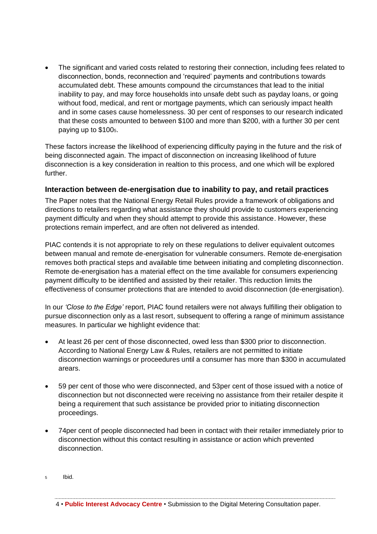• The significant and varied costs related to restoring their connection, including fees related to disconnection, bonds, reconnection and 'required' payments and contributions towards accumulated debt. These amounts compound the circumstances that lead to the initial inability to pay, and may force households into unsafe debt such as payday loans, or going without food, medical, and rent or mortgage payments, which can seriously impact health and in some cases cause homelessness. 30 per cent of responses to our research indicated that these costs amounted to between \$100 and more than \$200, with a further 30 per cent paying up to \$1005.

These factors increase the likelihood of experiencing difficulty paying in the future and the risk of being disconnected again. The impact of disconnection on increasing likelihood of future disconnection is a key consideration in realtion to this process, and one which will be explored further.

#### **Interaction between de-energisation due to inability to pay, and retail practices**

The Paper notes that the National Energy Retail Rules provide a framework of obligations and directions to retailers regarding what assistance they should provide to customers experiencing payment difficulty and when they should attempt to provide this assistance. However, these protections remain imperfect, and are often not delivered as intended.

PIAC contends it is not appropriate to rely on these regulations to deliver equivalent outcomes between manual and remote de-energisation for vulnerable consumers. Remote de-energisation removes both practical steps and available time between initiating and completing disconnection. Remote de-energisation has a material effect on the time available for consumers experiencing payment difficulty to be identified and assisted by their retailer. This reduction limits the effectiveness of consumer protections that are intended to avoid disconnection (de-energisation).

In our *'Close to the Edge'* report, PIAC found retailers were not always fulfilling their obligation to pursue disconnection only as a last resort, subsequent to offering a range of minimum assistance measures. In particular we highlight evidence that:

- At least 26 per cent of those disconnected, owed less than \$300 prior to disconnection. According to National Energy Law & Rules, retailers are not permitted to initiate disconnection warnings or proceedures until a consumer has more than \$300 in accumulated arears.
- 59 per cent of those who were disconnected, and 53per cent of those issued with a notice of disconnection but not disconnected were receiving no assistance from their retailer despite it being a requirement that such assistance be provided prior to initiating disconnection proceedings.
- 74per cent of people disconnected had been in contact with their retailer immediately prior to disconnection without this contact resulting in assistance or action which prevented disconnection.

<sup>5</sup> Ibid.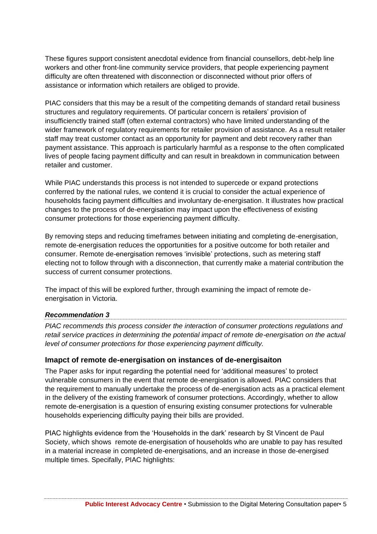These figures support consistent anecdotal evidence from financial counsellors, debt-help line workers and other front-line community service providers, that people experiencing payment difficulty are often threatened with disconnection or disconnected without prior offers of assistance or information which retailers are obliged to provide.

PIAC considers that this may be a result of the competiting demands of standard retail business structures and regulatory requirements. Of particular concern is retailers' provision of insufficienctly trained staff (often external contractors) who have limited understanding of the wider framework of regulatory requirements for retailer provision of assistance. As a result retailer staff may treat customer contact as an opportunity for payment and debt recovery rather than payment assistance. This approach is particularly harmful as a response to the often complicated lives of people facing payment difficulty and can result in breakdown in communication between retailer and customer.

While PIAC understands this process is not intended to supercede or expand protections conferred by the national rules, we contend it is crucial to consider the actual experience of households facing payment difficulties and involuntary de-energisation. It illustrates how practical changes to the process of de-energisation may impact upon the effectiveness of existing consumer protections for those experiencing payment difficulty.

By removing steps and reducing timeframes between initiating and completing de-energisation, remote de-energisation reduces the opportunities for a positive outcome for both retailer and consumer. Remote de-energisation removes 'invisible' protections, such as metering staff electing not to follow through with a disconnection, that currently make a material contribution the success of current consumer protections.

The impact of this will be explored further, through examining the impact of remote deenergisation in Victoria.

#### *Recommendation 3*

*PIAC recommends this process consider the interaction of consumer protections regulations and retail service practices in determining the potential impact of remote de-energisation on the actual level of consumer protections for those experiencing payment difficulty.* 

#### **Imapct of remote de-energisation on instances of de-energisaiton**

The Paper asks for input regarding the potential need for 'additional measures' to protect vulnerable consumers in the event that remote de-energisation is allowed. PIAC considers that the requirement to manually undertake the process of de-energisation acts as a practical element in the delivery of the existing framework of consumer protections. Accordingly, whether to allow remote de-energisation is a question of ensuring existing consumer protections for vulnerable households experiencing difficulty paying their bills are provided.

PIAC highlights evidence from the 'Households in the dark' research by St Vincent de Paul Society, which shows remote de-energisation of households who are unable to pay has resulted in a material increase in completed de-energisations, and an increase in those de-energised multiple times. Specifally, PIAC highlights: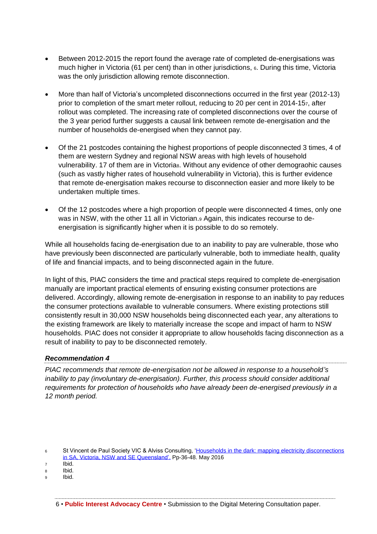- Between 2012-2015 the report found the average rate of completed de-energisations was much higher in Victoria (61 per cent) than in other jurisdictions, 6. During this time, Victoria was the only jurisdiction allowing remote disconnection.
- More than half of Victoria's uncompleted disconnections occurred in the first year (2012-13) prior to completion of the smart meter rollout, reducing to 20 per cent in 2014-157, after rollout was completed. The increasing rate of completed disconnections over the course of the 3 year period further suggests a causal link between remote de-energisation and the number of households de-energised when they cannot pay.
- Of the 21 postcodes containing the highest proportions of people disconnected 3 times, 4 of them are western Sydney and regional NSW areas with high levels of household vulnerability. 17 of them are in Victorias. Without any evidence of other demographic causes (such as vastly higher rates of household vulnerability in Victoria), this is further evidence that remote de-energisation makes recourse to disconnection easier and more likely to be undertaken multiple times.
- Of the 12 postcodes where a high proportion of people were disconnected 4 times, only one was in NSW, with the other 11 all in Victorian.<sup>9</sup> Again, this indicates recourse to deenergisation is significantly higher when it is possible to do so remotely.

While all households facing de-energisation due to an inability to pay are vulnerable, those who have previously been disconnected are particularly vulnerable, both to immediate health, quality of life and financial impacts, and to being disconnected again in the future.

In light of this, PIAC considers the time and practical steps required to complete de-energisation manually are important practical elements of ensuring existing consumer protections are delivered. Accordingly, allowing remote de-energisation in response to an inability to pay reduces the consumer protections available to vulnerable consumers. Where existing protections still consistently result in 30,000 NSW households being disconnected each year, any alterations to the existing framework are likely to materially increase the scope and impact of harm to NSW households. PIAC does not consider it appropriate to allow households facing disconnection as a result of inability to pay to be disconnected remotely.

#### *Recommendation 4*

*PIAC recommends that remote de-energisation not be allowed in response to a household's inability to pay (involuntary de-energisation). Further, this process should consider additional requirements for protection of households who have already been de-energised previously in a 12 month period.* 

<sup>6</sup> St Vincent de Paul Society VIC & Alviss Consulting, 'Households in the dark: mapping electricity disconnections [in SA, Victoria, NSW and SE Queensland'.](https://www.vinnies.org.au/content/Document/VIC/2016-June-Households-in-the-dark2.pdf) Pp-36-48. May 2016

<sup>7</sup> Ibid.

<sup>8</sup> Ibid.

<sup>9</sup> Ibid.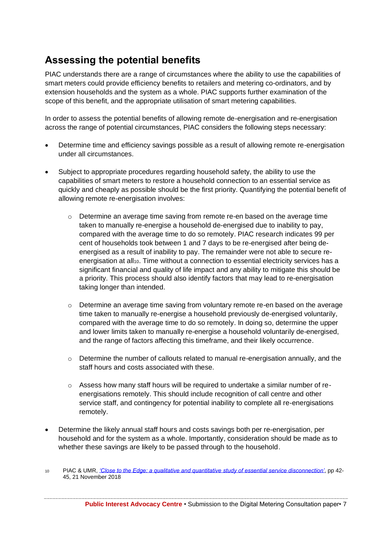## <span id="page-10-0"></span>**Assessing the potential benefits**

PIAC understands there are a range of circumstances where the ability to use the capabilities of smart meters could provide efficiency benefits to retailers and metering co-ordinators, and by extension households and the system as a whole. PIAC supports further examination of the scope of this benefit, and the appropriate utilisation of smart metering capabilities.

In order to assess the potential benefits of allowing remote de-energisation and re-energisation across the range of potential circumstances, PIAC considers the following steps necessary:

- Determine time and efficiency savings possible as a result of allowing remote re-energisation under all circumstances.
- Subject to appropriate procedures regarding household safety, the ability to use the capabilities of smart meters to restore a household connection to an essential service as quickly and cheaply as possible should be the first priority. Quantifying the potential benefit of allowing remote re-energisation involves:
	- o Determine an average time saving from remote re-en based on the average time taken to manually re-energise a household de-energised due to inability to pay, compared with the average time to do so remotely. PIAC research indicates 99 per cent of households took between 1 and 7 days to be re-energised after being deenergised as a result of inability to pay. The remainder were not able to secure reenergisation at all10. Time without a connection to essential electricity services has a significant financial and quality of life impact and any ability to mitigate this should be a priority. This process should also identify factors that may lead to re-energisation taking longer than intended.
	- $\circ$  Determine an average time saving from voluntary remote re-en based on the average time taken to manually re-energise a household previously de-energised voluntarily, compared with the average time to do so remotely. In doing so, determine the upper and lower limits taken to manually re-energise a household voluntarily de-energised, and the range of factors affecting this timeframe, and their likely occurrence.
	- $\circ$  Determine the number of callouts related to manual re-energisation annually, and the staff hours and costs associated with these.
	- o Assess how many staff hours will be required to undertake a similar number of reenergisations remotely. This should include recognition of call centre and other service staff, and contingency for potential inability to complete all re-energisations remotely.
- Determine the likely annual staff hours and costs savings both per re-energisation, per household and for the system as a whole. Importantly, consideration should be made as to whether these savings are likely to be passed through to the household.
- <sup>10</sup> PIAC & UMR, *['Close to the Edge: a qualitative and quantitative study of essential service disconnection'](https://www.piac.asn.au/wp-content/uploads/2018/11/PIAC-CTTE-Consolidated-Report-FINAL.pdf)*, pp 42- 45, 21 November 2018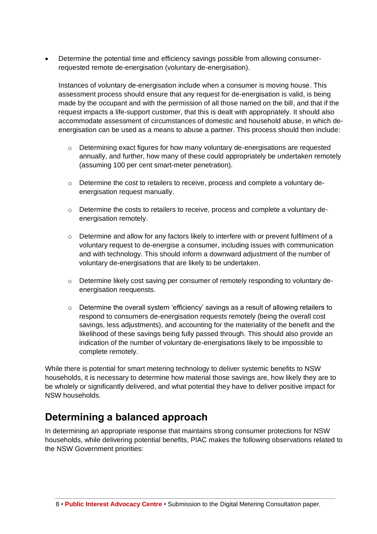• Determine the potential time and efficiency savings possible from allowing consumerrequested remote de-energisation (voluntary de-energisation).

Instances of voluntary de-energisation include when a consumer is moving house. This assessment process should ensure that any request for de-energisation is valid, is being made by the occupant and with the permission of all those named on the bill, and that if the request impacts a life-support customer, that this is dealt with appropriately. It should also accommodate assessment of circumstances of domestic and household abuse, in which deenergisation can be used as a means to abuse a partner. This process should then include:

- $\circ$  Determining exact figures for how many voluntary de-energisations are requested annually, and further, how many of these could appropriately be undertaken remotely (assuming 100 per cent smart-meter penetration).
- $\circ$  Determine the cost to retailers to receive, process and complete a voluntary deenergisation request manually.
- $\circ$  Determine the costs to retailers to receive, process and complete a voluntary deenergisation remotely.
- $\circ$  Determine and allow for any factors likely to interfere with or prevent fulfilment of a voluntary request to de-energise a consumer, including issues with communication and with technology. This should inform a downward adjustment of the number of voluntary de-energisations that are likely to be undertaken.
- o Determine likely cost saving per consumer of remotely responding to voluntary deenergisation reequensts.
- o Determine the overall system 'efficiency' savings as a result of allowing retailers to respond to consumers de-energisation requests remotely (being the overall cost savings, less adjustments), and accounting for the materiality of the benefit and the likelihood of these savings being fully passed through. This should also provide an indication of the number of voluntary de-energisations likely to be impossible to complete remotely.

While there is potential for smart metering technology to deliver systemic benefits to NSW households, it is necessary to determine how material those savings are, how likely they are to be wholely or significantly delivered, and what potential they have to deliver positive impact for NSW households.

### <span id="page-11-0"></span>**Determining a balanced approach**

In determining an appropriate response that maintains strong consumer protections for NSW households, while delivering potential benefits, PIAC makes the following observations related to the NSW Government priorities: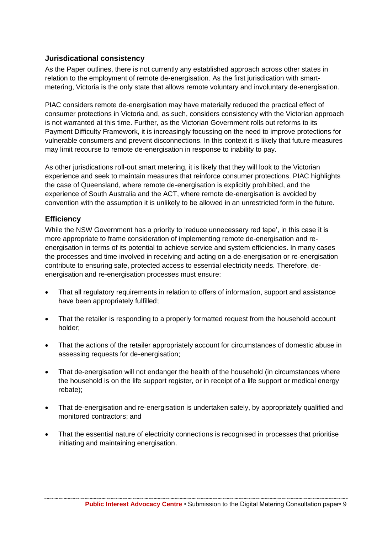#### **Jurisdicational consistency**

As the Paper outlines, there is not currently any established approach across other states in relation to the employment of remote de-energisation. As the first jurisdication with smartmetering, Victoria is the only state that allows remote voluntary and involuntary de-energisation.

PIAC considers remote de-energisation may have materially reduced the practical effect of consumer protections in Victoria and, as such, considers consistency with the Victorian approach is not warranted at this time. Further, as the Victorian Government rolls out reforms to its Payment Difficulty Framework, it is increasingly focussing on the need to improve protections for vulnerable consumers and prevent disconnections. In this context it is likely that future measures may limit recourse to remote de-energisation in response to inability to pay.

As other jurisdications roll-out smart metering, it is likely that they will look to the Victorian experience and seek to maintain measures that reinforce consumer protections. PIAC highlights the case of Queensland, where remote de-energisation is explicitly prohibited, and the experience of South Australia and the ACT, where remote de-energisation is avoided by convention with the assumption it is unlikely to be allowed in an unrestricted form in the future.

#### **Efficiency**

While the NSW Government has a priority to 'reduce unnecessary red tape', in this case it is more appropriate to frame consideration of implementing remote de-energisation and reenergisation in terms of its potential to achieve service and system efficiencies. In many cases the processes and time involved in receiving and acting on a de-energisation or re-energisation contribute to ensuring safe, protected access to essential electricity needs. Therefore, deenergisation and re-energisation processes must ensure:

- That all regulatory requirements in relation to offers of information, support and assistance have been appropriately fulfilled;
- That the retailer is responding to a properly formatted request from the household account holder;
- That the actions of the retailer appropriately account for circumstances of domestic abuse in assessing requests for de-energisation;
- That de-energisation will not endanger the health of the household (in circumstances where the household is on the life support register, or in receipt of a life support or medical energy rebate);
- That de-energisation and re-energisation is undertaken safely, by appropriately qualified and monitored contractors; and
- That the essential nature of electricity connections is recognised in processes that prioritise initiating and maintaining energisation.